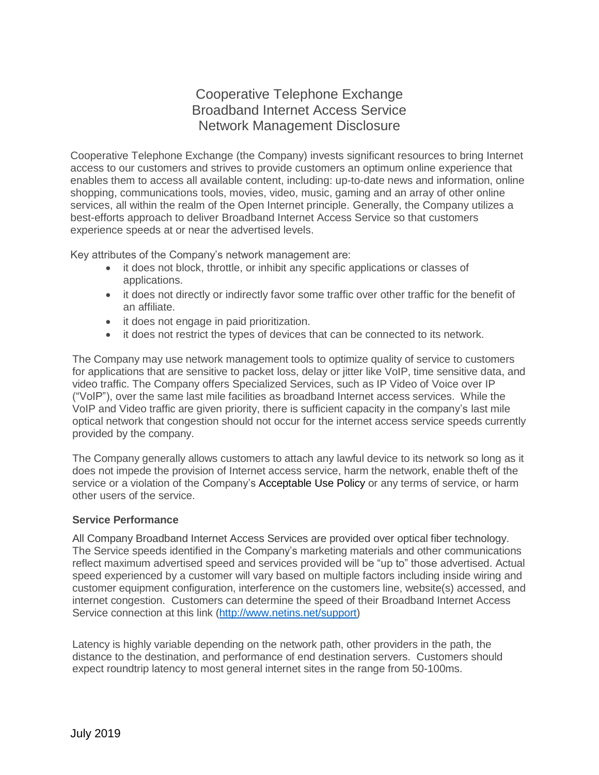# Cooperative Telephone Exchange Broadband Internet Access Service Network Management Disclosure

Cooperative Telephone Exchange (the Company) invests significant resources to bring Internet access to our customers and strives to provide customers an optimum online experience that enables them to access all available content, including: up-to-date news and information, online shopping, communications tools, movies, video, music, gaming and an array of other online services, all within the realm of the Open Internet principle. Generally, the Company utilizes a best-efforts approach to deliver Broadband Internet Access Service so that customers experience speeds at or near the advertised levels.

Key attributes of the Company's network management are:

- it does not block, throttle, or inhibit any specific applications or classes of applications.
- it does not directly or indirectly favor some traffic over other traffic for the benefit of an affiliate.
- it does not engage in paid prioritization.
- it does not restrict the types of devices that can be connected to its network.

The Company may use network management tools to optimize quality of service to customers for applications that are sensitive to packet loss, delay or jitter like VoIP, time sensitive data, and video traffic. The Company offers Specialized Services, such as IP Video of Voice over IP ("VoIP"), over the same last mile facilities as broadband Internet access services. While the VoIP and Video traffic are given priority, there is sufficient capacity in the company's last mile optical network that congestion should not occur for the internet access service speeds currently provided by the company.

The Company generally allows customers to attach any lawful device to its network so long as it does not impede the provision of Internet access service, harm the network, enable theft of the service or a violation of the Company's Acceptable Use Policy or any terms of service, or harm other users of the service.

### **Service Performance**

All Company Broadband Internet Access Services are provided over optical fiber technology. The Service speeds identified in the Company's marketing materials and other communications reflect maximum advertised speed and services provided will be "up to" those advertised. Actual speed experienced by a customer will vary based on multiple factors including inside wiring and customer equipment configuration, interference on the customers line, website(s) accessed, and internet congestion. Customers can determine the speed of their Broadband Internet Access Service connection at this link [\(http://www.netins.net/support\)](http://www.netins.net/support)

Latency is highly variable depending on the network path, other providers in the path, the distance to the destination, and performance of end destination servers. Customers should expect roundtrip latency to most general internet sites in the range from 50-100ms.